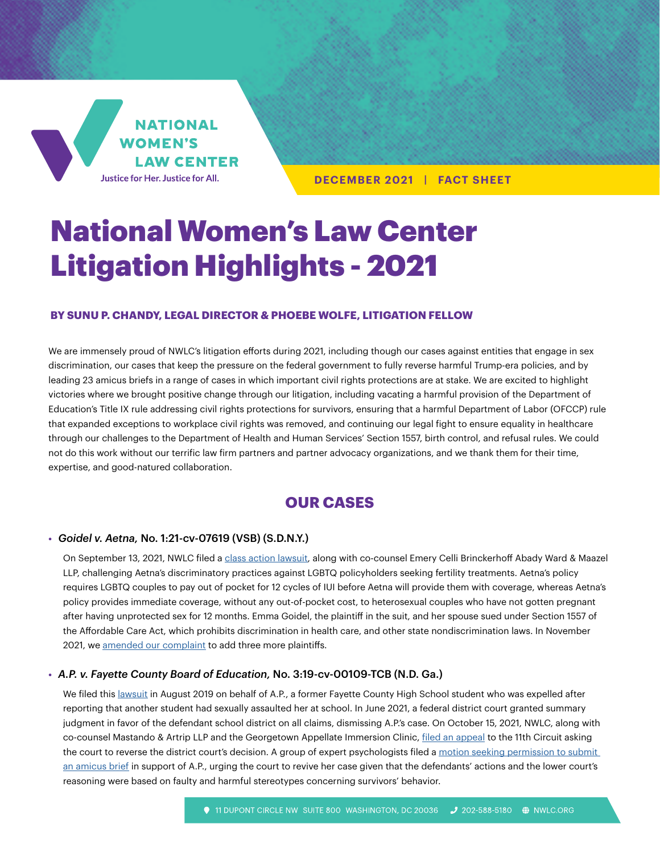

**DECEMBER 2021 | FACT SHEET**

# National Women's Law Center Litigation Highlights - 2021

#### **BY SUNU P. CHANDY, LEGAL DIRECTOR & PHOEBE WOLFE, LITIGATION FELLOW**

We are immensely proud of NWLC's litigation efforts during 2021, including though our cases against entities that engage in sex discrimination, our cases that keep the pressure on the federal government to fully reverse harmful Trump-era policies, and by leading 23 amicus briefs in a range of cases in which important civil rights protections are at stake. We are excited to highlight victories where we brought positive change through our litigation, including vacating a harmful provision of the Department of Education's Title IX rule addressing civil rights protections for survivors, ensuring that a harmful Department of Labor (OFCCP) rule that expanded exceptions to workplace civil rights was removed, and continuing our legal fight to ensure equality in healthcare through our challenges to the Department of Health and Human Services' Section 1557, birth control, and refusal rules. We could not do this work without our terrific law firm partners and partner advocacy organizations, and we thank them for their time, expertise, and good-natured collaboration.

# **OUR CASES**

#### **•** *Goidel v. Aetna,* No. 1:21-cv-07619 (VSB) (S.D.N.Y.)

On September 13, 2021, NWLC filed a [class action lawsuit](https://nwlc.org/resources/nwlc-lawsuit-emma-goidel-v-aetna/), along with co-counsel Emery Celli Brinckerhoff Abady Ward & Maazel LLP, challenging Aetna's discriminatory practices against LGBTQ policyholders seeking fertility treatments. Aetna's policy requires LGBTQ couples to pay out of pocket for 12 cycles of IUI before Aetna will provide them with coverage, whereas Aetna's policy provides immediate coverage, without any out-of-pocket cost, to heterosexual couples who have not gotten pregnant after having unprotected sex for 12 months. Emma Goidel, the plaintiff in the suit, and her spouse sued under Section 1557 of the Affordable Care Act, which prohibits discrimination in health care, and other state nondiscrimination laws. In November 2021, we [amended our complaint](https://nwlc.org/wp-content/uploads/2021/09/19-2021.11.04-First-Amended-Complaint.pdf) to add three more plaintiffs.

#### **•** *A.P. v. Fayette County Board of Education,* No. 3:19-cv-00109-TCB (N.D. Ga.)

We filed this [lawsuit](https://nwlc.org/wp-content/uploads/2019/08/1-COMPLAINT-8.23.19-STAMPED.pdf) in August 2019 on behalf of A.P., a former Fayette County High School student who was expelled after reporting that another student had sexually assaulted her at school. In June 2021, a federal district court granted summary judgment in favor of the defendant school district on all claims, dismissing A.P.'s case. On October 15, 2021, NWLC, along with co-counsel Mastando & Artrip LLP and the Georgetown Appellate Immersion Clinic, [filed an appeal](https://nwlc.org/wp-content/uploads/2022/03/A.P.-Opening-Brief.pdf) to the 11th Circuit asking the court to reverse the district court's decision. A group of expert psychologists filed a motion seeking permission to submit [an amicus brief](https://nwlc.org/wp-content/uploads/2022/03/Fayette-Amicus-Brief.pdf) in support of A.P., urging the court to revive her case given that the defendants' actions and the lower court's reasoning were based on faulty and harmful stereotypes concerning survivors' behavior.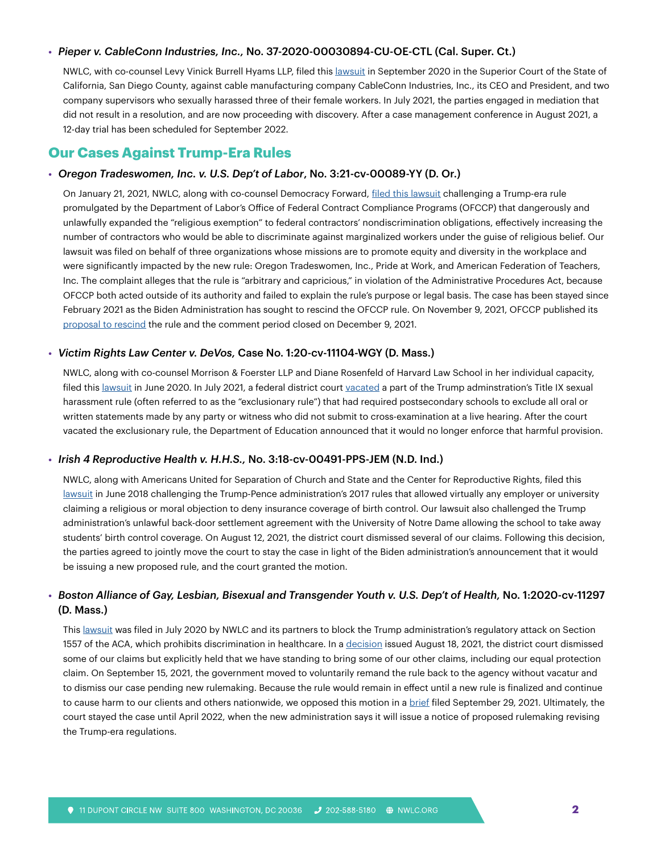#### **•** *Pieper v. CableConn Industries, Inc.,* No. 37-2020-00030894-CU-OE-CTL (Cal. Super. Ct.)

NWLC, with co-counsel Levy Vinick Burrell Hyams LLP, filed this [lawsuit](https://nwlc.org/resources/nwlc-files-sexual-harassment-lawsuit-against-california-manufacturing-company-that-failed-to-stop-harassment-and-abuse-by-supervisors/) in September 2020 in the Superior Court of the State of California, San Diego County, against cable manufacturing company CableConn Industries, Inc., its CEO and President, and two company supervisors who sexually harassed three of their female workers. In July 2021, the parties engaged in mediation that did not result in a resolution, and are now proceeding with discovery. After a case management conference in August 2021, a 12-day trial has been scheduled for September 2022.

## **Our Cases Against Trump-Era Rules**

#### **•** *Oregon Tradeswomen, Inc. v. U.S. Dep't of Labor*, No. 3:21-cv-00089-YY (D. Or.)

On January 21, 2021, NWLC, along with co-counsel Democracy Forward, [filed this lawsuit](https://nwlc.org/resources/nwlc-files-lawsuit-on-ofccp-religious-exemption-rule/) challenging a Trump-era rule promulgated by the Department of Labor's Office of Federal Contract Compliance Programs (OFCCP) that dangerously and unlawfully expanded the "religious exemption" to federal contractors' nondiscrimination obligations, effectively increasing the number of contractors who would be able to discriminate against marginalized workers under the guise of religious belief. Our lawsuit was filed on behalf of three organizations whose missions are to promote equity and diversity in the workplace and were significantly impacted by the new rule: Oregon Tradeswomen, Inc., Pride at Work, and American Federation of Teachers, Inc. The complaint alleges that the rule is "arbitrary and capricious," in violation of the Administrative Procedures Act, because OFCCP both acted outside of its authority and failed to explain the rule's purpose or legal basis. The case has been stayed since February 2021 as the Biden Administration has sought to rescind the OFCCP rule. On November 9, 2021, OFCCP published its [proposal to rescind](https://www.federalregister.gov/documents/2021/11/09/2021-24376/proposal-to-rescind-implementing-legal-requirements-regarding-the-equal-opportunity-clauses) the rule and the comment period closed on December 9, 2021.

#### **•** *Victim Rights Law Center v. DeVos,* Case No. 1:20-cv-11104-WGY (D. Mass.)

NWLC, along with co-counsel Morrison & Foerster LLP and Diane Rosenfeld of Harvard Law School in her individual capacity, filed this [lawsuit](https://nwlc.org/wp-content/uploads/2020/06/20-11104-Complaint.pdf) in June 2020. In July 2021, a federal district court [vacated](https://nwlc.org/resources/federal-judge-vacates-part-of-trump-administrations-title-ix-sexual-harassment/) a part of the Trump adminstration's Title IX sexual harassment rule (often referred to as the "exclusionary rule") that had required postsecondary schools to exclude all oral or written statements made by any party or witness who did not submit to cross-examination at a live hearing. After the court vacated the exclusionary rule, the Department of Education announced that it would no longer enforce that harmful provision.

#### **•** *Irish 4 Reproductive Health v. H.H.S.,* No. 3:18-cv-00491-PPS-JEM (N.D. Ind.)

NWLC, along with Americans United for Separation of Church and State and the Center for Reproductive Rights, filed this [lawsuit](https://nwlc.org/resources/lawsuit-irish-4-reproductive-health-v-hhs/) in June 2018 challenging the Trump-Pence administration's 2017 rules that allowed virtually any employer or university claiming a religious or moral objection to deny insurance coverage of birth control. Our lawsuit also challenged the Trump administration's unlawful back-door settlement agreement with the University of Notre Dame allowing the school to take away students' birth control coverage. On August 12, 2021, the district court dismissed several of our claims. Following this decision, the parties agreed to jointly move the court to stay the case in light of the Biden administration's announcement that it would be issuing a new proposed rule, and the court granted the motion.

## **•** *Boston Alliance of Gay, Lesbian, Bisexual and Transgender Youth v. U.S. Dep't of Health,* No. 1:2020-cv-11297 (D. Mass.)

This [lawsuit](https://nwlc.org/resources/nwlc-and-partners-challenge-trump-administration-attack-on-health-care-rights-law/) was filed in July 2020 by NWLC and its partners to block the Trump administration's regulatory attack on Section 1557 of the ACA, which prohibits discrimination in healthcare. In a [decision](https://www.leagle.com/decision/infdco20210820f29) issued August 18, 2021, the district court dismissed some of our claims but explicitly held that we have standing to bring some of our other claims, including our equal protection claim. On September 15, 2021, the government moved to voluntarily remand the rule back to the agency without vacatur and to dismiss our case pending new rulemaking. Because the rule would remain in effect until a new rule is finalized and continue to cause harm to our clients and others nationwide, we opposed this motion in a **[brief](https://nwlc.org/wp-content/uploads/2020/11/Brief-in-Opposition-to-Governments-Motion-to-Dismiss-BAGLY-v.-HHS-11.18.20.pdf) filed September 29, 2021.** Ultimately, the court stayed the case until April 2022, when the new administration says it will issue a notice of proposed rulemaking revising the Trump-era regulations.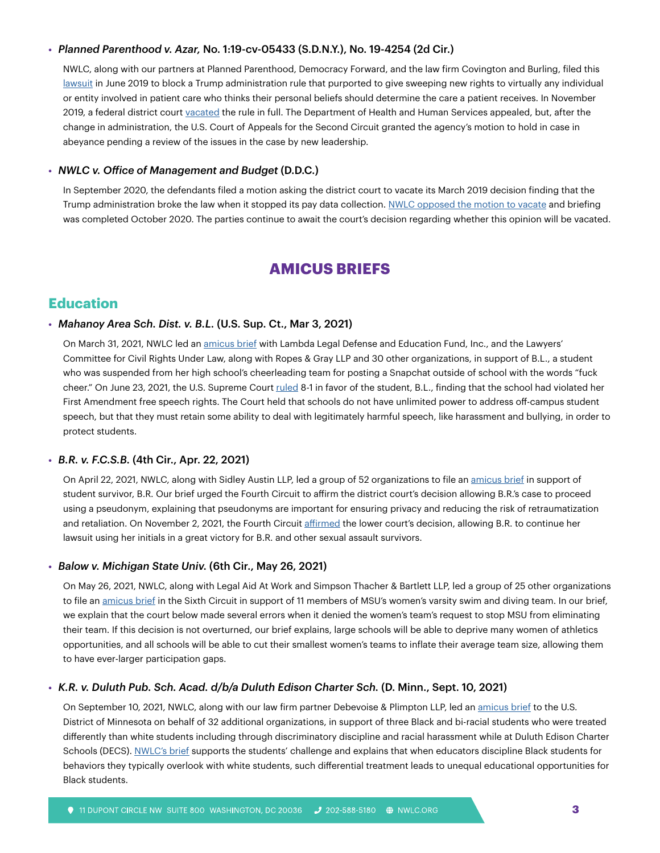#### **•** *Planned Parenthood v. Azar,* No. 1:19-cv-05433 (S.D.N.Y.), No. 19-4254 (2d Cir.)

NWLC, along with our partners at Planned Parenthood, Democracy Forward, and the law firm Covington and Burling, filed this [lawsuit](https://nwlc.org/wp-content/uploads/2022/01/Planned-Parenthood-v.-Azar-Complaint.pdf) in June 2019 to block a Trump administration rule that purported to give sweeping new rights to virtually any individual or entity involved in patient care who thinks their personal beliefs should determine the care a patient receives. In November 2019, a federal district court [vacated](https://nwlc.org/wp-content/uploads/2019/11/2019-11-06-Opinion-And-Order-dckt-248_0-1.pdf) the rule in full. The Department of Health and Human Services appealed, but, after the change in administration, the U.S. Court of Appeals for the Second Circuit granted the agency's motion to hold in case in abeyance pending a review of the issues in the case by new leadership.

#### **•** *NWLC v. Office of Management and Budget* (D.D.C.)

In September 2020, the defendants filed a motion asking the district court to vacate its March 2019 decision finding that the Trump administration broke the law when it stopped its pay data collection. [NWLC opposed the motion to vacate](https://nwlc.org/wp-content/uploads/2022/03/Pls_Opp_EEO1_Opinion_Oct2020.pdf) and briefing was completed October 2020. The parties continue to await the court's decision regarding whether this opinion will be vacated.

# **AMICUS BRIEFS**

# **Education**

#### **•** *Mahanoy Area Sch. Dist. v. B.L.* (U.S. Sup. Ct., Mar 3, 2021)

On March 31, 2021, NWLC led an [amicus brief](https://nwlc.org/resources/nwlc-files-u-s-supreme-court-amicus-brief-in-support-of-students-rights-to-be-free-from-harassment-and-unfair-discipline/) with Lambda Legal Defense and Education Fund, Inc., and the Lawyers' Committee for Civil Rights Under Law, along with Ropes & Gray LLP and 30 other organizations, in support of B.L., a student who was suspended from her high school's cheerleading team for posting a Snapchat outside of school with the words "fuck cheer." On June 23, 2021, the U.S. Supreme Court [ruled](https://www.supremecourt.gov/opinions/20pdf/20-255_g3bi.pdf) 8-1 in favor of the student, B.L., finding that the school had violated her First Amendment free speech rights. The Court held that schools do not have unlimited power to address off-campus student speech, but that they must retain some ability to deal with legitimately harmful speech, like harassment and bullying, in order to protect students.

#### **•** *B.R. v. F.C.S.B.* (4th Cir., Apr. 22, 2021)

On April 22, 2021, NWLC, along with Sidley Austin LLP, led a group of 52 organizations to file an [amicus brief](https://nwlc.org/wp-content/uploads/2021/04/2021-04-22-Amicus-Curiae-Brief-dckt-.pdf) in support of student survivor, B.R. Our brief urged the Fourth Circuit to affirm the district court's decision allowing B.R.'s case to proceed using a pseudonym, explaining that pseudonyms are important for ensuring privacy and reducing the risk of retraumatization and retaliation. On November 2, 2021, the Fourth Circuit [affirmed](https://nwlc.org/resources/nwlc-files-fourth-circuit-amicus-brief-in-support-of-student-survivor) the lower court's decision, allowing B.R. to continue her lawsuit using her initials in a great victory for B.R. and other sexual assault survivors.

#### **•** *Balow v. Michigan State Univ.* (6th Cir., May 26, 2021)

On May 26, 2021, NWLC, along with Legal Aid At Work and Simpson Thacher & Bartlett LLP, led a group of 25 other organizations to file an [amicus brief](https://nwlc.org/wp-content/uploads/2021/05/Balow-v-MSU-Amicus-Brief-5.26.21.pdf) in the Sixth Circuit in support of 11 members of MSU's women's varsity swim and diving team. In our brief, we explain that the court below made several errors when it denied the women's team's request to stop MSU from eliminating their team. If this decision is not overturned, our brief explains, large schools will be able to deprive many women of athletics opportunities, and all schools will be able to cut their smallest women's teams to inflate their average team size, allowing them to have ever-larger participation gaps.

#### **•** *K.R. v. Duluth Pub. Sch. Acad. d/b/a Duluth Edison Charter Sch.* (D. Minn., Sept. 10, 2021)

On September 10, 2021, NWLC, along with our law firm partner Debevoise & Plimpton LLP, led an [amicus brief](https://nwlc.org/wp-content/uploads/2021/09/ECF-No.-145-1-Amicus-Brief.pdf) to the U.S. District of Minnesota on behalf of 32 additional organizations, in support of three Black and bi-racial students who were treated differently than white students including through discriminatory discipline and racial harassment while at Duluth Edison Charter Schools (DECS). [NWLC's brief](https://nwlc.org/blog/seriously-dont-touch-our-hair-nwlc-files-amicus-brief-supporting-students-challenging-race-based-discipline-and-harassment/) supports the students' challenge and explains that when educators discipline Black students for behaviors they typically overlook with white students, such differential treatment leads to unequal educational opportunities for Black students.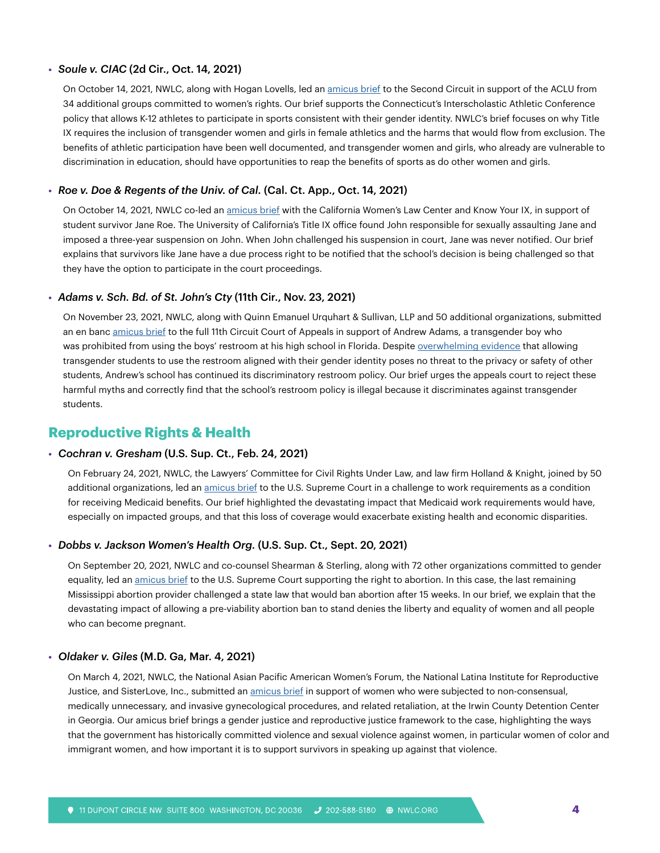#### **•** *Soule v. CIAC* (2d Cir., Oct. 14, 2021)

On October 14, 2021, NWLC, along with Hogan Lovells, led an [amicus brief](https://nwlc.org/resources/nwlc-leads-second-circuit-amicus-brief-in-support-of-trans-inclusive-athletic-policies/) to the Second Circuit in support of the ACLU from 34 additional groups committed to women's rights. Our brief supports the Connecticut's Interscholastic Athletic Conference policy that allows K-12 athletes to participate in sports consistent with their gender identity. NWLC's brief focuses on why Title IX requires the inclusion of transgender women and girls in female athletics and the harms that would flow from exclusion. The benefits of athletic participation have been well documented, and transgender women and girls, who already are vulnerable to discrimination in education, should have opportunities to reap the benefits of sports as do other women and girls.

#### **•** *Roe v. Doe & Regents of the Univ. of Cal.* (Cal. Ct. App., Oct. 14, 2021)

On October 14, 2021, NWLC co-led an [amicus brief](https://nwlc.org/wp-content/uploads/2021/11/Roe-v-Doe-Regents-CA-amicus-10.14.21.pdf) with the California Women's Law Center and Know Your IX, in support of student survivor Jane Roe. The University of California's Title IX office found John responsible for sexually assaulting Jane and imposed a three-year suspension on John. When John challenged his suspension in court, Jane was never notified. Our brief explains that survivors like Jane have a due process right to be notified that the school's decision is being challenged so that they have the option to participate in the court proceedings.

#### **•** *Adams v. Sch. Bd. of St. John's Cty* (11th Cir., Nov. 23, 2021)

On November 23, 2021, NWLC, along with Quinn Emanuel Urquhart & Sullivan, LLP and 50 additional organizations, submitted an en banc [amicus brief](https://nwlc.org/resources/nwlc-leads-eleventh-circuit-amicus-brief-challenging-discriminatory-school-bathroom-policy/) to the full 11th Circuit Court of Appeals in support of Andrew Adams, a transgender boy who was prohibited from using the boys' restroom at his high school in Florida. Despite [overwhelming evidence](https://nwlc.org/blog/nwlc-files-amicus-brief-challenging-discriminatory-school-bathroom-policy-again/) that allowing transgender students to use the restroom aligned with their gender identity poses no threat to the privacy or safety of other students, Andrew's school has continued its discriminatory restroom policy. Our brief urges the appeals court to reject these harmful myths and correctly find that the school's restroom policy is illegal because it discriminates against transgender students.

### **Reproductive Rights & Health**

#### **•** *Cochran v. Gresham* (U.S. Sup. Ct., Feb. 24, 2021)

On February 24, 2021, NWLC, the Lawyers' Committee for Civil Rights Under Law, and law firm Holland & Knight, joined by 50 additional organizations, led an [amicus brief](https://nwlc.org/wp-content/uploads/2021/02/FINAL-NWLC-Lawyers-Committee-et-al-Amici-Curiae-Brief-2021.pdf) to the U.S. Supreme Court in a challenge to work requirements as a condition for receiving Medicaid benefits. Our brief highlighted the devastating impact that Medicaid work requirements would have, especially on impacted groups, and that this loss of coverage would exacerbate existing health and economic disparities.

#### **•** *Dobbs v. Jackson Women's Health Org.* (U.S. Sup. Ct., Sept. 20, 2021)

On September 20, 2021, NWLC and co-counsel Shearman & Sterling, along with 72 other organizations committed to gender equality, led an [amicus brief](https://nwlc.org/wp-content/uploads/2021/11/19-1392-Thomas-E-Dobbs-v-Jackson-Womens-Health-Brief-of-Amici-in-Support.._.pdf) to the U.S. Supreme Court supporting the right to abortion. In this case, the last remaining Mississippi abortion provider challenged a state law that would ban abortion after 15 weeks. In our brief, we explain that the devastating impact of allowing a pre-viability abortion ban to stand denies the liberty and equality of women and all people who can become pregnant.

#### **•** *Oldaker v. Giles* (M.D. Ga, Mar. 4, 2021)

On March 4, 2021, NWLC, the National Asian Pacific American Women's Forum, the National Latina Institute for Reproductive Justice, and SisterLove, Inc., submitted an [amicus brief](https://nwlc.org/wp-content/uploads/2021/03/116-1_Brief94.pdf) in support of women who were subjected to non-consensual, medically unnecessary, and invasive gynecological procedures, and related retaliation, at the Irwin County Detention Center in Georgia. Our amicus brief brings a gender justice and reproductive justice framework to the case, highlighting the ways that the government has historically committed violence and sexual violence against women, in particular women of color and immigrant women, and how important it is to support survivors in speaking up against that violence.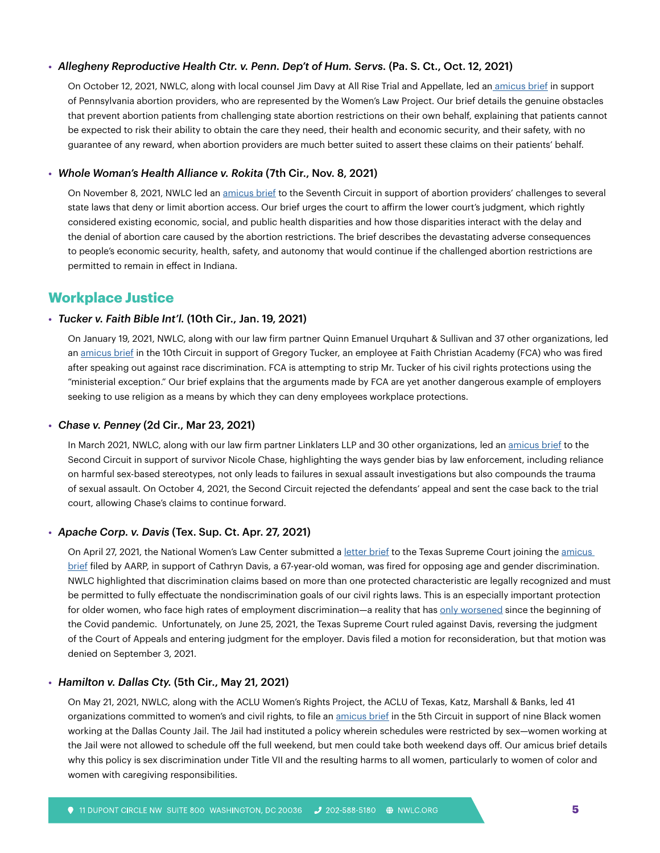#### **•** *Allegheny Reproductive Health Ctr. v. Penn. Dep't of Hum. Servs.* (Pa. S. Ct., Oct. 12, 2021)

On October 12, 2021, NWLC, along with local counsel Jim Davy at All Rise Trial and Appellate, led a[n amicus brief](https://nwlc.org/resources/nwlc-files-amicus-brief-in-pennsylvania-supreme-court-case/) in support of Pennsylvania abortion providers, who are represented by the Women's Law Project. Our brief details the genuine obstacles that prevent abortion patients from challenging state abortion restrictions on their own behalf, explaining that patients cannot be expected to risk their ability to obtain the care they need, their health and economic security, and their safety, with no guarantee of any reward, when abortion providers are much better suited to assert these claims on their patients' behalf.

#### **•** *Whole Woman's Health Alliance v. Rokita* (7th Cir., Nov. 8, 2021)

On November 8, 2021, NWLC led an [amicus brief](https://nwlc.org/wp-content/uploads/2021/11/WWHA-v-Rokita-NWCL-amicus-brief-FINAL-AS-FILED.pdf) to the Seventh Circuit in support of abortion providers' challenges to several state laws that deny or limit abortion access. Our brief urges the court to affirm the lower court's judgment, which rightly considered existing economic, social, and public health disparities and how those disparities interact with the delay and the denial of abortion care caused by the abortion restrictions. The brief describes the devastating adverse consequences to people's economic security, health, safety, and autonomy that would continue if the challenged abortion restrictions are permitted to remain in effect in Indiana.

## **Workplace Justice**

#### **•** *Tucker v. Faith Bible Int'l.* (10th Cir., Jan. 19, 2021)

On January 19, 2021, NWLC, along with our law firm partner Quinn Emanuel Urquhart & Sullivan and 37 other organizations, led an [amicus brief](https://nwlc.org/wp-content/uploads/2021/01/2021.01.19-NWLC-and-37-other-orgs-AMICUS.pdf) in the 10th Circuit in support of Gregory Tucker, an employee at Faith Christian Academy (FCA) who was fired after speaking out against race discrimination. FCA is attempting to strip Mr. Tucker of his civil rights protections using the "ministerial exception." Our brief explains that the arguments made by FCA are yet another dangerous example of employers seeking to use religion as a means by which they can deny employees workplace protections.

#### **•** *Chase v. Penney* (2d Cir., Mar 23, 2021)

In March 2021, NWLC, along with our law firm partner Linklaters LLP and 30 other organizations, led an [amicus brief](https://nwlc.org/resources/nwlc-files-second-circuit-amicus-brief-in-support-of-survivor-justice/) to the Second Circuit in support of survivor Nicole Chase, highlighting the ways gender bias by law enforcement, including reliance on harmful sex-based stereotypes, not only leads to failures in sexual assault investigations but also compounds the trauma of sexual assault. On October 4, 2021, the Second Circuit rejected the defendants' appeal and sent the case back to the trial court, allowing Chase's claims to continue forward.

#### **•** *Apache Corp. v. Davis* (Tex. Sup. Ct. Apr. 27, 2021)

On April 27, 2021, the National Women's Law Center submitted a [letter brief](https://nwlc.org/wp-content/uploads/2021/04/Davis.NWLC_.Amicus.Filed_.pdf) to the Texas Supreme Court joining the amicus [brief](https://www.aarp.org/content/dam/aarp/aarp_foundation/litigation/2020/apache-v-davis.pdf) filed by AARP, in support of Cathryn Davis, a 67-year-old woman, was fired for opposing age and gender discrimination. NWLC highlighted that discrimination claims based on more than one protected characteristic are legally recognized and must be permitted to fully effectuate the nondiscrimination goals of our civil rights laws. This is an especially important protection for older women, who face high rates of employment discrimination—a reality that has [only worsened](https://nwlc.org/wp-content/uploads/2021/04/March-Jobs-Day-2021-v1.pdf) since the beginning of the Covid pandemic. Unfortunately, on June 25, 2021, the Texas Supreme Court ruled against Davis, reversing the judgment of the Court of Appeals and entering judgment for the employer. Davis filed a motion for reconsideration, but that motion was denied on September 3, 2021.

#### **•** *Hamilton v. Dallas Cty.* (5th Cir., May 21, 2021)

On May 21, 2021, NWLC, along with the ACLU Women's Rights Project, the ACLU of Texas, Katz, Marshall & Banks, led 41 organizations committed to women's and civil rights, to file an [amicus brief](https://nwlc.org/wp-content/uploads/2021/05/210520-Hamilton-v-Dallas-County-NWLC-Amicus-Filed.pdf) in the 5th Circuit in support of nine Black women working at the Dallas County Jail. The Jail had instituted a policy wherein schedules were restricted by sex—women working at the Jail were not allowed to schedule off the full weekend, but men could take both weekend days off. Our amicus brief details why this policy is sex discrimination under Title VII and the resulting harms to all women, particularly to women of color and women with caregiving responsibilities.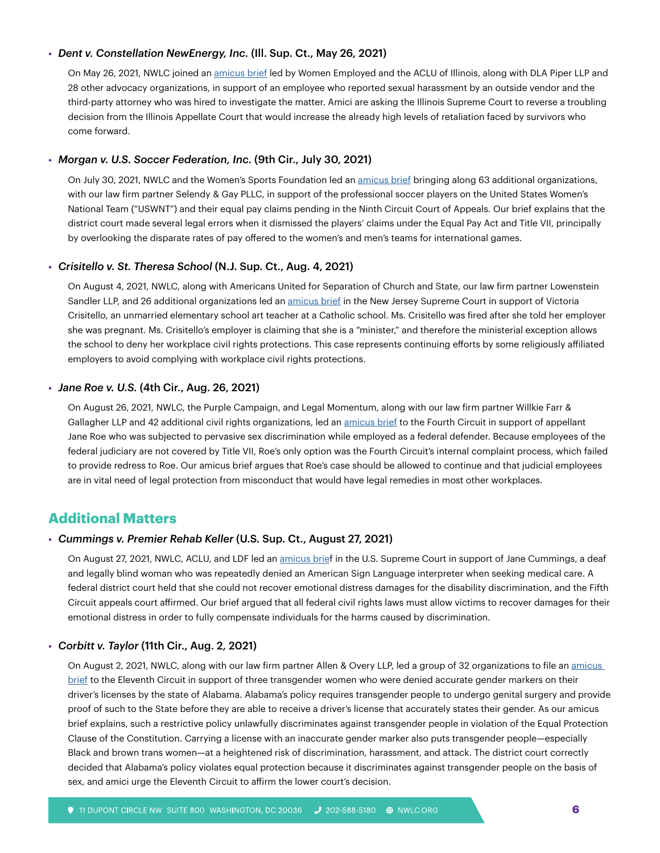#### **•** *Dent v. Constellation NewEnergy, Inc.* (Ill. Sup. Ct., May 26, 2021)

On May 26, 2021, NWLC joined an [amicus brief](https://nwlc.org/resources/nwlc-joins-amicus-brief-to-protect-employees-from-retaliatory-defamation-lawsuits/) led by Women Employed and the ACLU of Illinois, along with DLA Piper LLP and 28 other advocacy organizations, in support of an employee who reported sexual harassment by an outside vendor and the third-party attorney who was hired to investigate the matter. Amici are asking the Illinois Supreme Court to reverse a troubling decision from the Illinois Appellate Court that would increase the already high levels of retaliation faced by survivors who come forward.

#### **•** *Morgan v. U.S. Soccer Federation, Inc.* (9th Cir., July 30, 2021)

On July 30, 2021, NWLC and the Women's Sports Foundation led an [amicus brief](https://nwlc.org/wp-content/uploads/2021/07/2021.07.30-Brief-for-the-NWLC-et-al.-Amici-Curiae-ISO-Pltf-App.pdf) bringing along 63 additional organizations, with our law firm partner Selendy & Gay PLLC, in support of the professional soccer players on the United States Women's National Team ("USWNT") and their equal pay claims pending in the Ninth Circuit Court of Appeals. Our brief explains that the district court made several legal errors when it dismissed the players' claims under the Equal Pay Act and Title VII, principally by overlooking the disparate rates of pay offered to the women's and men's teams for international games.

#### **•** *Crisitello v. St. Theresa School* (N.J. Sup. Ct., Aug. 4, 2021)

On August 4, 2021, NWLC, along with Americans United for Separation of Church and State, our law firm partner Lowenstein Sandler LLP, and 26 additional organizations led an [amicus brief](https://nwlc.org/wp-content/uploads/2021/08/Submitted_NWLC-AU-Crisitello-Amicus-Brief.pdf) in the New Jersey Supreme Court in support of Victoria Crisitello, an unmarried elementary school art teacher at a Catholic school. Ms. Crisitello was fired after she told her employer she was pregnant. Ms. Crisitello's employer is claiming that she is a "minister," and therefore the ministerial exception allows the school to deny her workplace civil rights protections. This case represents continuing efforts by some religiously affiliated employers to avoid complying with workplace civil rights protections.

#### **•** *Jane Roe v. U.S.* (4th Cir., Aug. 26, 2021)

On August 26, 2021, NWLC, the Purple Campaign, and Legal Momentum, along with our law firm partner Willkie Farr & Gallagher LLP and 42 additional civil rights organizations, led an [amicus brief](https://nwlc.org/wp-content/uploads/2021/08/2021.08.26-ECF-42-Amici-Curiae-Brief-w-Appearance-of-Counsel.pdf) to the Fourth Circuit in support of appellant Jane Roe who was subjected to pervasive sex discrimination while employed as a federal defender. Because employees of the federal judiciary are not covered by Title VII, Roe's only option was the Fourth Circuit's internal complaint process, which failed to provide redress to Roe. Our amicus brief argues that Roe's case should be allowed to continue and that judicial employees are in vital need of legal protection from misconduct that would have legal remedies in most other workplaces.

## **Additional Matters**

#### **•** *Cummings v. Premier Rehab Keller* (U.S. Sup. Ct., August 27, 2021)

On August 27, 2021, NWLC, ACLU, and LDF led an [amicus brief](https://nwlc.org/resources/nwlc-co-leads-supreme-court-amicus-brief-advocating-for-compensation-for-emotional-distress-in-civil-rights-cases/) in the U.S. Supreme Court in support of Jane Cummings, a deaf and legally blind woman who was repeatedly denied an American Sign Language interpreter when seeking medical care. A federal district court held that she could not recover emotional distress damages for the disability discrimination, and the Fifth Circuit appeals court affirmed. Our brief argued that all federal civil rights laws must allow victims to recover damages for their emotional distress in order to fully compensate individuals for the harms caused by discrimination.

#### **•** *Corbitt v. Taylor* (11th Cir., Aug. 2, 2021)

On August 2, 2021, NWLC, along with our law firm partner Allen & Overy LLP, led a group of 32 organizations to file an amicus [brief](https://nwlc.org/wp-content/uploads/2021/08/Amicus-Brief-FILED.pdf) to the Eleventh Circuit in support of three transgender women who were denied accurate gender markers on their driver's licenses by the state of Alabama. Alabama's policy requires transgender people to undergo genital surgery and provide proof of such to the State before they are able to receive a driver's license that accurately states their gender. As our amicus brief explains, such a restrictive policy unlawfully discriminates against transgender people in violation of the Equal Protection Clause of the Constitution. Carrying a license with an inaccurate gender marker also puts transgender people—especially Black and brown trans women—at a heightened risk of discrimination, harassment, and attack. The district court correctly decided that Alabama's policy violates equal protection because it discriminates against transgender people on the basis of sex, and amici urge the Eleventh Circuit to affirm the lower court's decision.